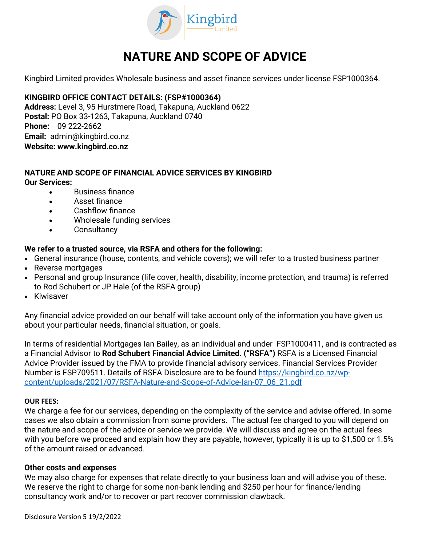

# **NATURE AND SCOPE OF ADVICE**

Kingbird Limited provides Wholesale business and asset finance services under license FSP1000364.

# **KINGBIRD OFFICE CONTACT DETAILS: (FSP#1000364)**

**Address:** Level 3, 95 Hurstmere Road, Takapuna, Auckland 0622 **Postal:** PO Box 33-1263, Takapuna, Auckland 0740 **Phone:** 09 222-2662 **Email:** admin@kingbird.co.nz **Website: www.kingbird.co.nz**

### **NATURE AND SCOPE OF FINANCIAL ADVICE SERVICES BY KINGBIRD Our Services:**

- Business finance
- Asset finance
- Cashflow finance
- Wholesale funding services
- Consultancy

# **We refer to a trusted source, via RSFA and others for the following:**

- General insurance (house, contents, and vehicle covers); we will refer to a trusted business partner
- Reverse mortgages
- Personal and group Insurance (life cover, health, disability, income protection, and trauma) is referred to Rod Schubert or JP Hale (of the RSFA group)
- Kiwisaver

Any financial advice provided on our behalf will take account only of the information you have given us about your particular needs, financial situation, or goals.

In terms of residential Mortgages Ian Bailey, as an individual and under FSP1000411, and is contracted as a Financial Advisor to **Rod Schubert Financial Advice Limited. ("RSFA")** RSFA is a Licensed Financial Advice Provider issued by the FMA to provide financial advisory services. Financial Services Provider Number is FSP709511. Details of RSFA Disclosure are to be found [https://kingbird.co.nz/wp](https://kingbird.co.nz/wp-content/uploads/2021/07/RSFA-Nature-and-Scope-of-Advice-Ian-07_06_21.pdf)[content/uploads/2021/07/RSFA-Nature-and-Scope-of-Advice-Ian-07\\_06\\_21.pdf](https://kingbird.co.nz/wp-content/uploads/2021/07/RSFA-Nature-and-Scope-of-Advice-Ian-07_06_21.pdf)

#### **OUR FEES:**

We charge a fee for our services, depending on the complexity of the service and advise offered. In some cases we also obtain a commission from some providers. The actual fee charged to you will depend on the nature and scope of the advice or service we provide. We will discuss and agree on the actual fees with you before we proceed and explain how they are payable, however, typically it is up to \$1,500 or 1.5% of the amount raised or advanced.

#### **Other costs and expenses**

We may also charge for expenses that relate directly to your business loan and will advise you of these. We reserve the right to charge for some non-bank lending and \$250 per hour for finance/lending consultancy work and/or to recover or part recover commission clawback.